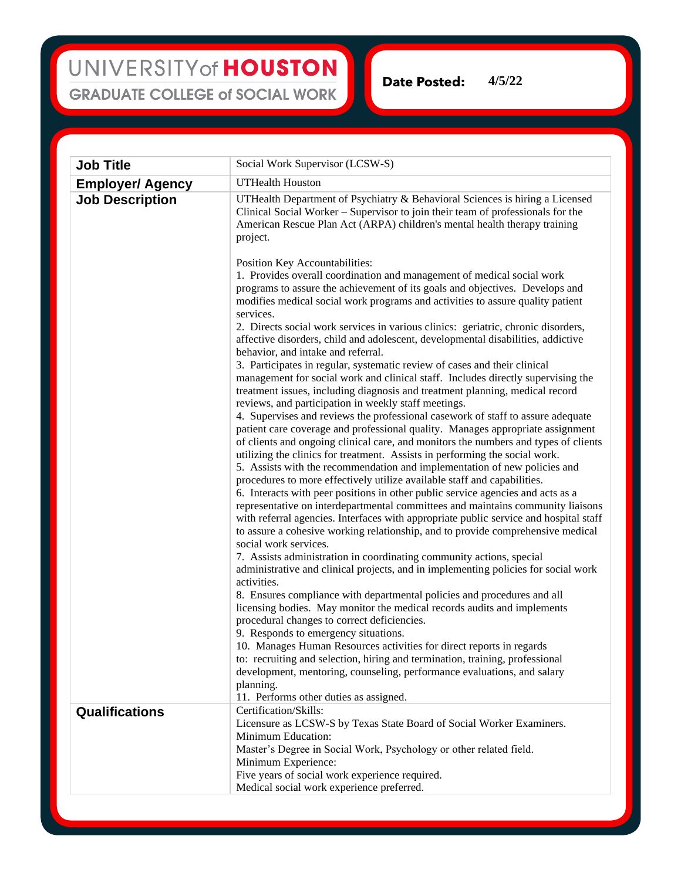## UNIVERSITY of HOUSTON **GRADUATE COLLEGE of SOCIAL WORK**

**Date Posted:** 

**Job Title** Social Work Supervisor (LCSW-S) **Employer/ Agency** UTHealth Houston **Job Description** UTHealth Department of Psychiatry & Behavioral Sciences is hiring a Licensed Clinical Social Worker – Supervisor to join their team of professionals for the American Rescue Plan Act (ARPA) children's mental health therapy training project. Position Key Accountabilities: 1. Provides overall coordination and management of medical social work programs to assure the achievement of its goals and objectives. Develops and modifies medical social work programs and activities to assure quality patient services. 2. Directs social work services in various clinics: geriatric, chronic disorders, affective disorders, child and adolescent, developmental disabilities, addictive behavior, and intake and referral. 3. Participates in regular, systematic review of cases and their clinical management for social work and clinical staff. Includes directly supervising the treatment issues, including diagnosis and treatment planning, medical record reviews, and participation in weekly staff meetings. 4. Supervises and reviews the professional casework of staff to assure adequate patient care coverage and professional quality. Manages appropriate assignment of clients and ongoing clinical care, and monitors the numbers and types of clients utilizing the clinics for treatment. Assists in performing the social work. 5. Assists with the recommendation and implementation of new policies and procedures to more effectively utilize available staff and capabilities. 6. Interacts with peer positions in other public service agencies and acts as a representative on interdepartmental committees and maintains community liaisons with referral agencies. Interfaces with appropriate public service and hospital staff to assure a cohesive working relationship, and to provide comprehensive medical social work services. 7. Assists administration in coordinating community actions, special administrative and clinical projects, and in implementing policies for social work activities. 8. Ensures compliance with departmental policies and procedures and all licensing bodies. May monitor the medical records audits and implements procedural changes to correct deficiencies. 9. Responds to emergency situations. 10. Manages Human Resources activities for direct reports in regards to: recruiting and selection, hiring and termination, training, professional development, mentoring, counseling, performance evaluations, and salary planning. 11. Performs other duties as assigned. **Qualifications** Certification/Skills: Licensure as LCSW-S by Texas State Board of Social Worker Examiners. Minimum Education: Master's Degree in Social Work, Psychology or other related field. Minimum Experience: Five years of social work experience required. Medical social work experience preferred.

**4/5/22**